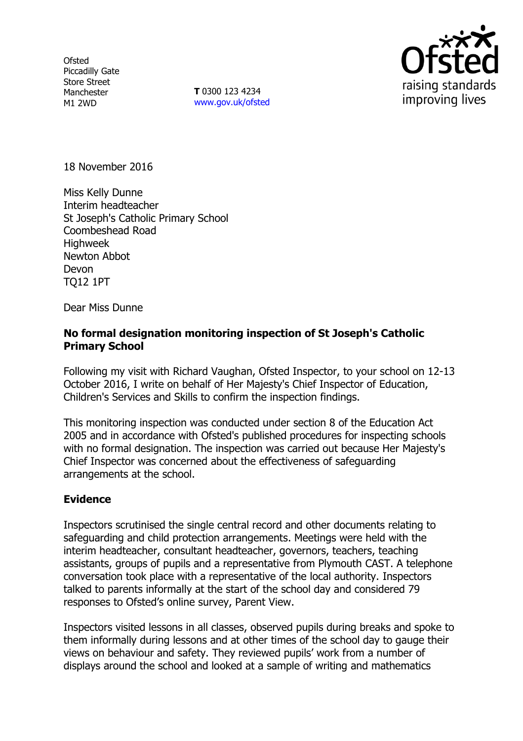**Ofsted** Piccadilly Gate Store Street Manchester M1 2WD

**T** 0300 123 4234 www.gov.uk/ofsted



18 November 2016

Miss Kelly Dunne Interim headteacher St Joseph's Catholic Primary School Coombeshead Road **Highweek** Newton Abbot Devon TQ12 1PT

Dear Miss Dunne

## **No formal designation monitoring inspection of St Joseph's Catholic Primary School**

Following my visit with Richard Vaughan, Ofsted Inspector, to your school on 12-13 October 2016, I write on behalf of Her Majesty's Chief Inspector of Education, Children's Services and Skills to confirm the inspection findings.

This monitoring inspection was conducted under section 8 of the Education Act 2005 and in accordance with Ofsted's published procedures for inspecting schools with no formal designation. The inspection was carried out because Her Majesty's Chief Inspector was concerned about the effectiveness of safeguarding arrangements at the school.

## **Evidence**

Inspectors scrutinised the single central record and other documents relating to safeguarding and child protection arrangements. Meetings were held with the interim headteacher, consultant headteacher, governors, teachers, teaching assistants, groups of pupils and a representative from Plymouth CAST. A telephone conversation took place with a representative of the local authority. Inspectors talked to parents informally at the start of the school day and considered 79 responses to Ofsted's online survey, Parent View.

Inspectors visited lessons in all classes, observed pupils during breaks and spoke to them informally during lessons and at other times of the school day to gauge their views on behaviour and safety. They reviewed pupils' work from a number of displays around the school and looked at a sample of writing and mathematics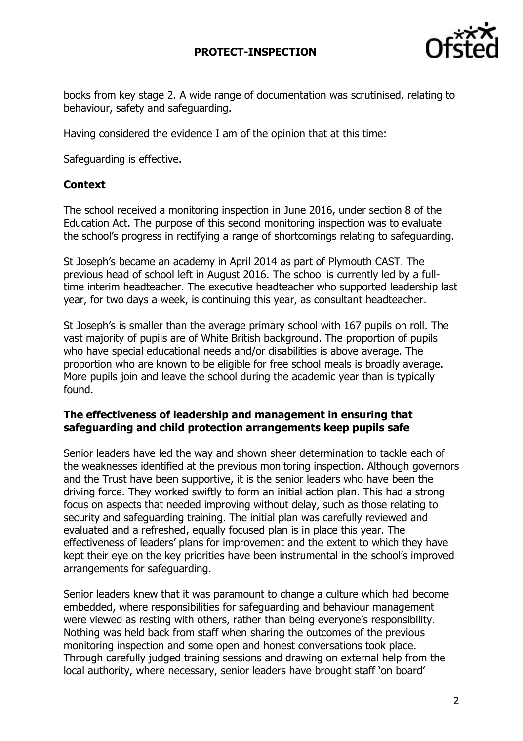

books from key stage 2. A wide range of documentation was scrutinised, relating to behaviour, safety and safeguarding.

Having considered the evidence I am of the opinion that at this time:

Safeguarding is effective.

# **Context**

The school received a monitoring inspection in June 2016, under section 8 of the Education Act. The purpose of this second monitoring inspection was to evaluate the school's progress in rectifying a range of shortcomings relating to safeguarding.

St Joseph's became an academy in April 2014 as part of Plymouth CAST. The previous head of school left in August 2016. The school is currently led by a fulltime interim headteacher. The executive headteacher who supported leadership last year, for two days a week, is continuing this year, as consultant headteacher.

St Joseph's is smaller than the average primary school with 167 pupils on roll. The vast majority of pupils are of White British background. The proportion of pupils who have special educational needs and/or disabilities is above average. The proportion who are known to be eligible for free school meals is broadly average. More pupils join and leave the school during the academic year than is typically found.

## **The effectiveness of leadership and management in ensuring that safeguarding and child protection arrangements keep pupils safe**

Senior leaders have led the way and shown sheer determination to tackle each of the weaknesses identified at the previous monitoring inspection. Although governors and the Trust have been supportive, it is the senior leaders who have been the driving force. They worked swiftly to form an initial action plan. This had a strong focus on aspects that needed improving without delay, such as those relating to security and safeguarding training. The initial plan was carefully reviewed and evaluated and a refreshed, equally focused plan is in place this year. The effectiveness of leaders' plans for improvement and the extent to which they have kept their eye on the key priorities have been instrumental in the school's improved arrangements for safeguarding.

Senior leaders knew that it was paramount to change a culture which had become embedded, where responsibilities for safeguarding and behaviour management were viewed as resting with others, rather than being everyone's responsibility. Nothing was held back from staff when sharing the outcomes of the previous monitoring inspection and some open and honest conversations took place. Through carefully judged training sessions and drawing on external help from the local authority, where necessary, senior leaders have brought staff 'on board'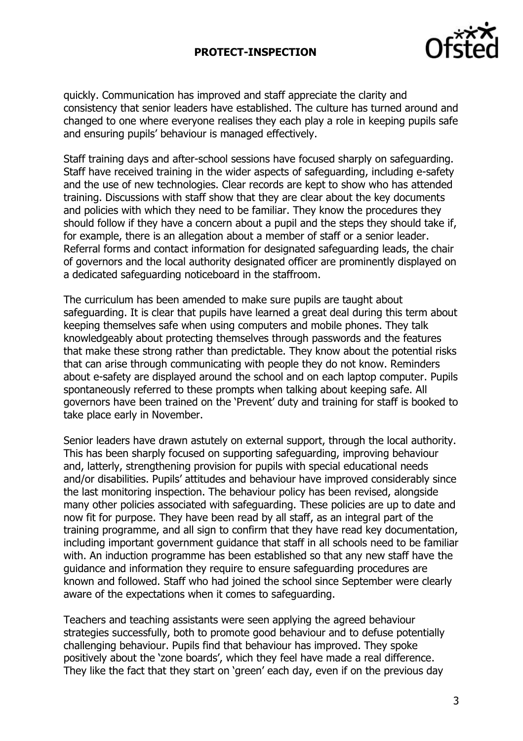

quickly. Communication has improved and staff appreciate the clarity and consistency that senior leaders have established. The culture has turned around and changed to one where everyone realises they each play a role in keeping pupils safe and ensuring pupils' behaviour is managed effectively.

Staff training days and after-school sessions have focused sharply on safeguarding. Staff have received training in the wider aspects of safeguarding, including e-safety and the use of new technologies. Clear records are kept to show who has attended training. Discussions with staff show that they are clear about the key documents and policies with which they need to be familiar. They know the procedures they should follow if they have a concern about a pupil and the steps they should take if, for example, there is an allegation about a member of staff or a senior leader. Referral forms and contact information for designated safeguarding leads, the chair of governors and the local authority designated officer are prominently displayed on a dedicated safeguarding noticeboard in the staffroom.

The curriculum has been amended to make sure pupils are taught about safeguarding. It is clear that pupils have learned a great deal during this term about keeping themselves safe when using computers and mobile phones. They talk knowledgeably about protecting themselves through passwords and the features that make these strong rather than predictable. They know about the potential risks that can arise through communicating with people they do not know. Reminders about e-safety are displayed around the school and on each laptop computer. Pupils spontaneously referred to these prompts when talking about keeping safe. All governors have been trained on the 'Prevent' duty and training for staff is booked to take place early in November.

Senior leaders have drawn astutely on external support, through the local authority. This has been sharply focused on supporting safeguarding, improving behaviour and, latterly, strengthening provision for pupils with special educational needs and/or disabilities. Pupils' attitudes and behaviour have improved considerably since the last monitoring inspection. The behaviour policy has been revised, alongside many other policies associated with safeguarding. These policies are up to date and now fit for purpose. They have been read by all staff, as an integral part of the training programme, and all sign to confirm that they have read key documentation, including important government guidance that staff in all schools need to be familiar with. An induction programme has been established so that any new staff have the guidance and information they require to ensure safeguarding procedures are known and followed. Staff who had joined the school since September were clearly aware of the expectations when it comes to safeguarding.

Teachers and teaching assistants were seen applying the agreed behaviour strategies successfully, both to promote good behaviour and to defuse potentially challenging behaviour. Pupils find that behaviour has improved. They spoke positively about the 'zone boards', which they feel have made a real difference. They like the fact that they start on 'green' each day, even if on the previous day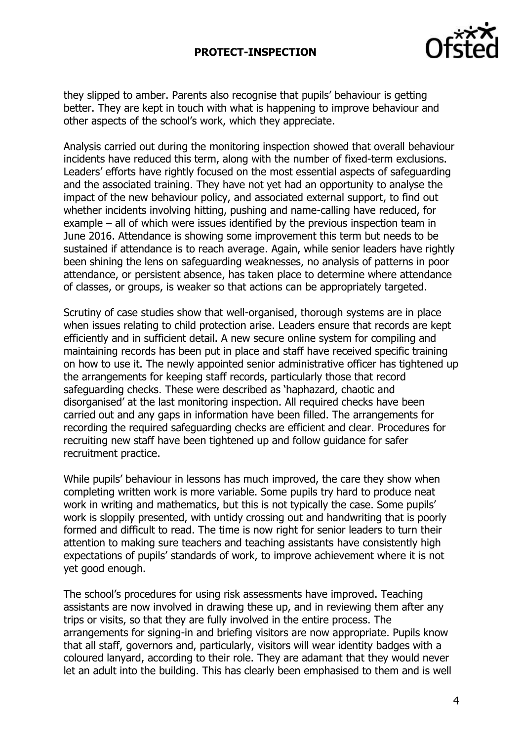

they slipped to amber. Parents also recognise that pupils' behaviour is getting better. They are kept in touch with what is happening to improve behaviour and other aspects of the school's work, which they appreciate.

Analysis carried out during the monitoring inspection showed that overall behaviour incidents have reduced this term, along with the number of fixed-term exclusions. Leaders' efforts have rightly focused on the most essential aspects of safeguarding and the associated training. They have not yet had an opportunity to analyse the impact of the new behaviour policy, and associated external support, to find out whether incidents involving hitting, pushing and name-calling have reduced, for example – all of which were issues identified by the previous inspection team in June 2016. Attendance is showing some improvement this term but needs to be sustained if attendance is to reach average. Again, while senior leaders have rightly been shining the lens on safeguarding weaknesses, no analysis of patterns in poor attendance, or persistent absence, has taken place to determine where attendance of classes, or groups, is weaker so that actions can be appropriately targeted.

Scrutiny of case studies show that well-organised, thorough systems are in place when issues relating to child protection arise. Leaders ensure that records are kept efficiently and in sufficient detail. A new secure online system for compiling and maintaining records has been put in place and staff have received specific training on how to use it. The newly appointed senior administrative officer has tightened up the arrangements for keeping staff records, particularly those that record safeguarding checks. These were described as 'haphazard, chaotic and disorganised' at the last monitoring inspection. All required checks have been carried out and any gaps in information have been filled. The arrangements for recording the required safeguarding checks are efficient and clear. Procedures for recruiting new staff have been tightened up and follow guidance for safer recruitment practice.

While pupils' behaviour in lessons has much improved, the care they show when completing written work is more variable. Some pupils try hard to produce neat work in writing and mathematics, but this is not typically the case. Some pupils' work is sloppily presented, with untidy crossing out and handwriting that is poorly formed and difficult to read. The time is now right for senior leaders to turn their attention to making sure teachers and teaching assistants have consistently high expectations of pupils' standards of work, to improve achievement where it is not yet good enough.

The school's procedures for using risk assessments have improved. Teaching assistants are now involved in drawing these up, and in reviewing them after any trips or visits, so that they are fully involved in the entire process. The arrangements for signing-in and briefing visitors are now appropriate. Pupils know that all staff, governors and, particularly, visitors will wear identity badges with a coloured lanyard, according to their role. They are adamant that they would never let an adult into the building. This has clearly been emphasised to them and is well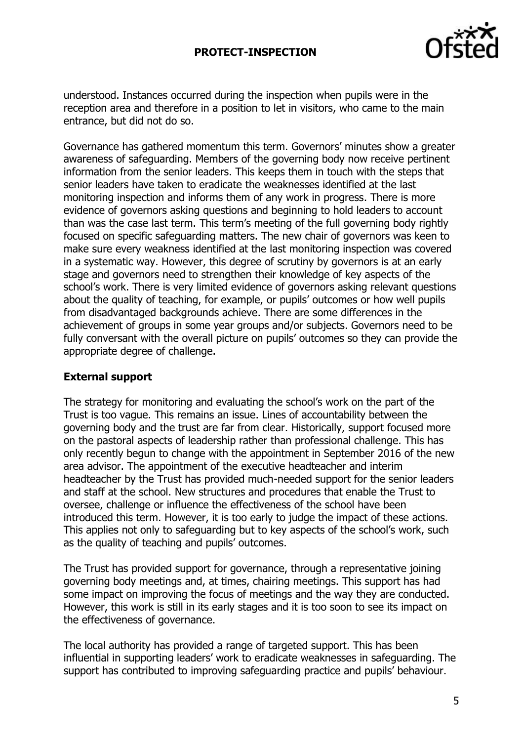

understood. Instances occurred during the inspection when pupils were in the reception area and therefore in a position to let in visitors, who came to the main entrance, but did not do so.

Governance has gathered momentum this term. Governors' minutes show a greater awareness of safeguarding. Members of the governing body now receive pertinent information from the senior leaders. This keeps them in touch with the steps that senior leaders have taken to eradicate the weaknesses identified at the last monitoring inspection and informs them of any work in progress. There is more evidence of governors asking questions and beginning to hold leaders to account than was the case last term. This term's meeting of the full governing body rightly focused on specific safeguarding matters. The new chair of governors was keen to make sure every weakness identified at the last monitoring inspection was covered in a systematic way. However, this degree of scrutiny by governors is at an early stage and governors need to strengthen their knowledge of key aspects of the school's work. There is very limited evidence of governors asking relevant questions about the quality of teaching, for example, or pupils' outcomes or how well pupils from disadvantaged backgrounds achieve. There are some differences in the achievement of groups in some year groups and/or subjects. Governors need to be fully conversant with the overall picture on pupils' outcomes so they can provide the appropriate degree of challenge.

## **External support**

The strategy for monitoring and evaluating the school's work on the part of the Trust is too vague. This remains an issue. Lines of accountability between the governing body and the trust are far from clear. Historically, support focused more on the pastoral aspects of leadership rather than professional challenge. This has only recently begun to change with the appointment in September 2016 of the new area advisor. The appointment of the executive headteacher and interim headteacher by the Trust has provided much-needed support for the senior leaders and staff at the school. New structures and procedures that enable the Trust to oversee, challenge or influence the effectiveness of the school have been introduced this term. However, it is too early to judge the impact of these actions. This applies not only to safeguarding but to key aspects of the school's work, such as the quality of teaching and pupils' outcomes.

The Trust has provided support for governance, through a representative joining governing body meetings and, at times, chairing meetings. This support has had some impact on improving the focus of meetings and the way they are conducted. However, this work is still in its early stages and it is too soon to see its impact on the effectiveness of governance.

The local authority has provided a range of targeted support. This has been influential in supporting leaders' work to eradicate weaknesses in safeguarding. The support has contributed to improving safeguarding practice and pupils' behaviour.